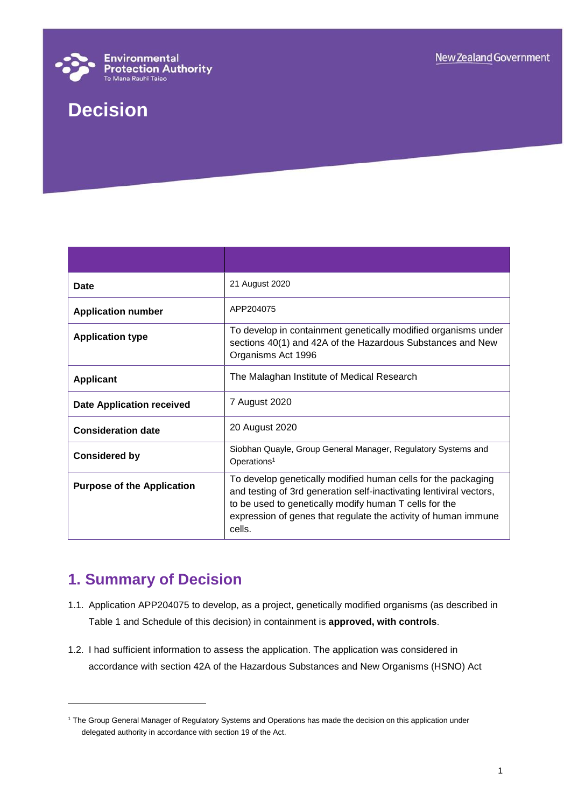

# **Decision**

| Date                              | 21 August 2020                                                                                                                                                                                                                                                             |
|-----------------------------------|----------------------------------------------------------------------------------------------------------------------------------------------------------------------------------------------------------------------------------------------------------------------------|
| <b>Application number</b>         | APP204075                                                                                                                                                                                                                                                                  |
| <b>Application type</b>           | To develop in containment genetically modified organisms under<br>sections 40(1) and 42A of the Hazardous Substances and New<br>Organisms Act 1996                                                                                                                         |
| <b>Applicant</b>                  | The Malaghan Institute of Medical Research                                                                                                                                                                                                                                 |
| <b>Date Application received</b>  | 7 August 2020                                                                                                                                                                                                                                                              |
| <b>Consideration date</b>         | 20 August 2020                                                                                                                                                                                                                                                             |
| <b>Considered by</b>              | Siobhan Quayle, Group General Manager, Regulatory Systems and<br>Operations <sup>1</sup>                                                                                                                                                                                   |
| <b>Purpose of the Application</b> | To develop genetically modified human cells for the packaging<br>and testing of 3rd generation self-inactivating lentiviral vectors,<br>to be used to genetically modify human T cells for the<br>expression of genes that regulate the activity of human immune<br>cells. |

# **1. Summary of Decision**

l

- 1.1. Application APP204075 to develop, as a project, genetically modified organisms (as described in Table 1 and Schedule of this decision) in containment is **approved, with controls**.
- 1.2. I had sufficient information to assess the application. The application was considered in accordance with section 42A of the Hazardous Substances and New Organisms (HSNO) Act

<sup>&</sup>lt;sup>1</sup> The Group General Manager of Regulatory Systems and Operations has made the decision on this application under delegated authority in accordance with section 19 of the Act.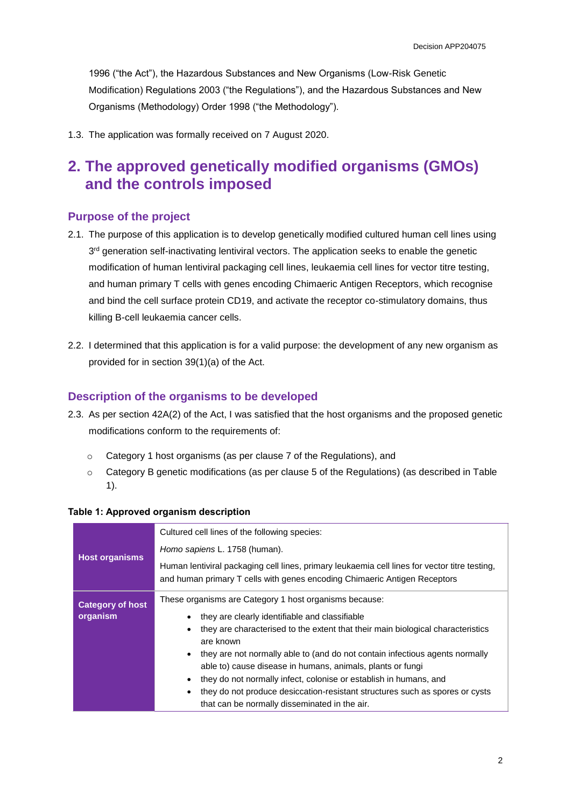1996 ("the Act"), the Hazardous Substances and New Organisms (Low-Risk Genetic Modification) Regulations 2003 ("the Regulations"), and the Hazardous Substances and New Organisms (Methodology) Order 1998 ("the Methodology").

1.3. The application was formally received on 7 August 2020.

# **2. The approved genetically modified organisms (GMOs) and the controls imposed**

#### **Purpose of the project**

- 2.1. The purpose of this application is to develop genetically modified cultured human cell lines using 3<sup>rd</sup> generation self-inactivating lentiviral vectors. The application seeks to enable the genetic modification of human lentiviral packaging cell lines, leukaemia cell lines for vector titre testing, and human primary T cells with genes encoding Chimaeric Antigen Receptors, which recognise and bind the cell surface protein CD19, and activate the receptor co-stimulatory domains, thus killing B-cell leukaemia cancer cells.
- 2.2. I determined that this application is for a valid purpose: the development of any new organism as provided for in section 39(1)(a) of the Act.

#### **Description of the organisms to be developed**

- 2.3. As per section 42A(2) of the Act, I was satisfied that the host organisms and the proposed genetic modifications conform to the requirements of:
	- o Category 1 host organisms (as per clause 7 of the Regulations), and
	- o Category B genetic modifications (as per clause 5 of the Regulations) (as described in Table 1).

|                         | Cultured cell lines of the following species:                                                                                                                              |  |
|-------------------------|----------------------------------------------------------------------------------------------------------------------------------------------------------------------------|--|
|                         | Homo sapiens L. 1758 (human).                                                                                                                                              |  |
| <b>Host organisms</b>   | Human lentiviral packaging cell lines, primary leukaemia cell lines for vector titre testing,<br>and human primary T cells with genes encoding Chimaeric Antigen Receptors |  |
| <b>Category of host</b> | These organisms are Category 1 host organisms because:                                                                                                                     |  |
| organism                | they are clearly identifiable and classifiable                                                                                                                             |  |
|                         | they are characterised to the extent that their main biological characteristics<br>are known                                                                               |  |
|                         | they are not normally able to (and do not contain infectious agents normally                                                                                               |  |
|                         | able to) cause disease in humans, animals, plants or fungi                                                                                                                 |  |
|                         | they do not normally infect, colonise or establish in humans, and                                                                                                          |  |
|                         | they do not produce desiccation-resistant structures such as spores or cysts                                                                                               |  |
|                         | that can be normally disseminated in the air.                                                                                                                              |  |

#### **Table 1: Approved organism description**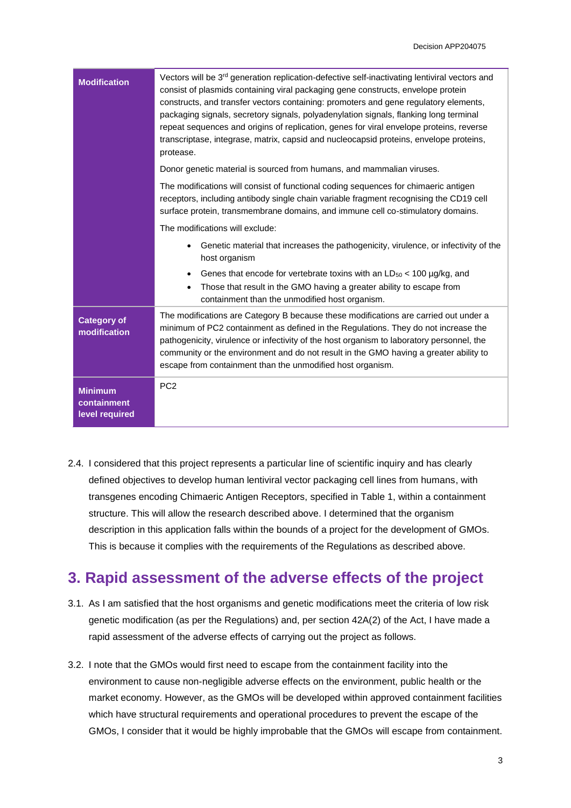| <b>Modification</b>                             | Vectors will be 3rd generation replication-defective self-inactivating lentiviral vectors and<br>consist of plasmids containing viral packaging gene constructs, envelope protein<br>constructs, and transfer vectors containing: promoters and gene regulatory elements,<br>packaging signals, secretory signals, polyadenylation signals, flanking long terminal<br>repeat sequences and origins of replication, genes for viral envelope proteins, reverse<br>transcriptase, integrase, matrix, capsid and nucleocapsid proteins, envelope proteins,<br>protease. |  |
|-------------------------------------------------|----------------------------------------------------------------------------------------------------------------------------------------------------------------------------------------------------------------------------------------------------------------------------------------------------------------------------------------------------------------------------------------------------------------------------------------------------------------------------------------------------------------------------------------------------------------------|--|
|                                                 | Donor genetic material is sourced from humans, and mammalian viruses.                                                                                                                                                                                                                                                                                                                                                                                                                                                                                                |  |
|                                                 | The modifications will consist of functional coding sequences for chimaeric antigen<br>receptors, including antibody single chain variable fragment recognising the CD19 cell<br>surface protein, transmembrane domains, and immune cell co-stimulatory domains.                                                                                                                                                                                                                                                                                                     |  |
|                                                 | The modifications will exclude:                                                                                                                                                                                                                                                                                                                                                                                                                                                                                                                                      |  |
|                                                 | Genetic material that increases the pathogenicity, virulence, or infectivity of the<br>host organism                                                                                                                                                                                                                                                                                                                                                                                                                                                                 |  |
|                                                 | Genes that encode for vertebrate toxins with an $LD_{50}$ < 100 $\mu$ g/kg, and<br>$\bullet$<br>Those that result in the GMO having a greater ability to escape from<br>$\bullet$<br>containment than the unmodified host organism.                                                                                                                                                                                                                                                                                                                                  |  |
| <b>Category of</b><br>modification              | The modifications are Category B because these modifications are carried out under a<br>minimum of PC2 containment as defined in the Regulations. They do not increase the<br>pathogenicity, virulence or infectivity of the host organism to laboratory personnel, the<br>community or the environment and do not result in the GMO having a greater ability to<br>escape from containment than the unmodified host organism.                                                                                                                                       |  |
| <b>Minimum</b><br>containment<br>level required | PC <sub>2</sub>                                                                                                                                                                                                                                                                                                                                                                                                                                                                                                                                                      |  |

2.4. I considered that this project represents a particular line of scientific inquiry and has clearly defined objectives to develop human lentiviral vector packaging cell lines from humans, with transgenes encoding Chimaeric Antigen Receptors, specified in Table 1, within a containment structure. This will allow the research described above. I determined that the organism description in this application falls within the bounds of a project for the development of GMOs. This is because it complies with the requirements of the Regulations as described above.

## **3. Rapid assessment of the adverse effects of the project**

- 3.1. As I am satisfied that the host organisms and genetic modifications meet the criteria of low risk genetic modification (as per the Regulations) and, per section 42A(2) of the Act, I have made a rapid assessment of the adverse effects of carrying out the project as follows.
- 3.2. I note that the GMOs would first need to escape from the containment facility into the environment to cause non-negligible adverse effects on the environment, public health or the market economy. However, as the GMOs will be developed within approved containment facilities which have structural requirements and operational procedures to prevent the escape of the GMOs, I consider that it would be highly improbable that the GMOs will escape from containment.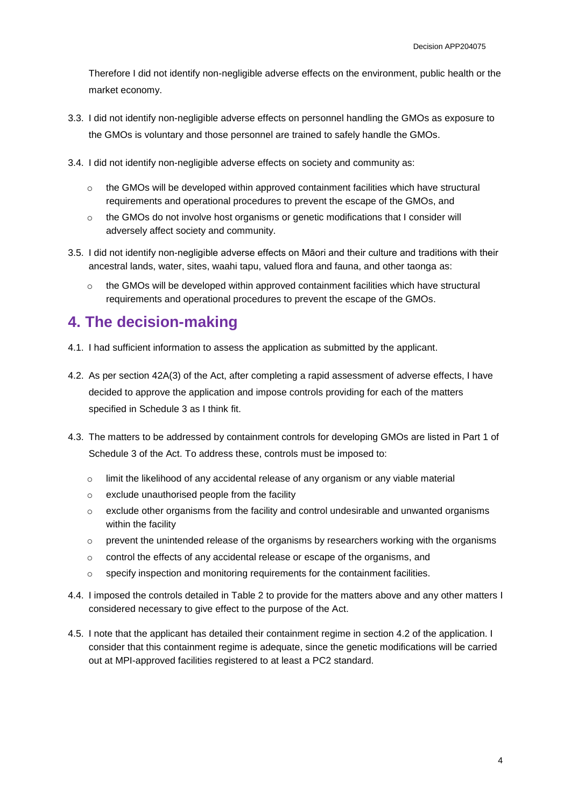Therefore I did not identify non-negligible adverse effects on the environment, public health or the market economy.

- 3.3. I did not identify non-negligible adverse effects on personnel handling the GMOs as exposure to the GMOs is voluntary and those personnel are trained to safely handle the GMOs.
- 3.4. I did not identify non-negligible adverse effects on society and community as:
	- $\circ$  the GMOs will be developed within approved containment facilities which have structural requirements and operational procedures to prevent the escape of the GMOs, and
	- $\circ$  the GMOs do not involve host organisms or genetic modifications that I consider will adversely affect society and community.
- 3.5. I did not identify non-negligible adverse effects on Māori and their culture and traditions with their ancestral lands, water, sites, waahi tapu, valued flora and fauna, and other taonga as:
	- $\circ$  the GMOs will be developed within approved containment facilities which have structural requirements and operational procedures to prevent the escape of the GMOs.

#### **4. The decision-making**

- 4.1. I had sufficient information to assess the application as submitted by the applicant.
- 4.2. As per section 42A(3) of the Act, after completing a rapid assessment of adverse effects, I have decided to approve the application and impose controls providing for each of the matters specified in Schedule 3 as I think fit.
- 4.3. The matters to be addressed by containment controls for developing GMOs are listed in Part 1 of Schedule 3 of the Act. To address these, controls must be imposed to:
	- o limit the likelihood of any accidental release of any organism or any viable material
	- o exclude unauthorised people from the facility
	- $\circ$  exclude other organisms from the facility and control undesirable and unwanted organisms within the facility
	- $\circ$  prevent the unintended release of the organisms by researchers working with the organisms
	- $\circ$  control the effects of any accidental release or escape of the organisms, and
	- $\circ$  specify inspection and monitoring requirements for the containment facilities.
- 4.4. I imposed the controls detailed in Table 2 to provide for the matters above and any other matters I considered necessary to give effect to the purpose of the Act.
- 4.5. I note that the applicant has detailed their containment regime in section 4.2 of the application. I consider that this containment regime is adequate, since the genetic modifications will be carried out at MPI-approved facilities registered to at least a PC2 standard.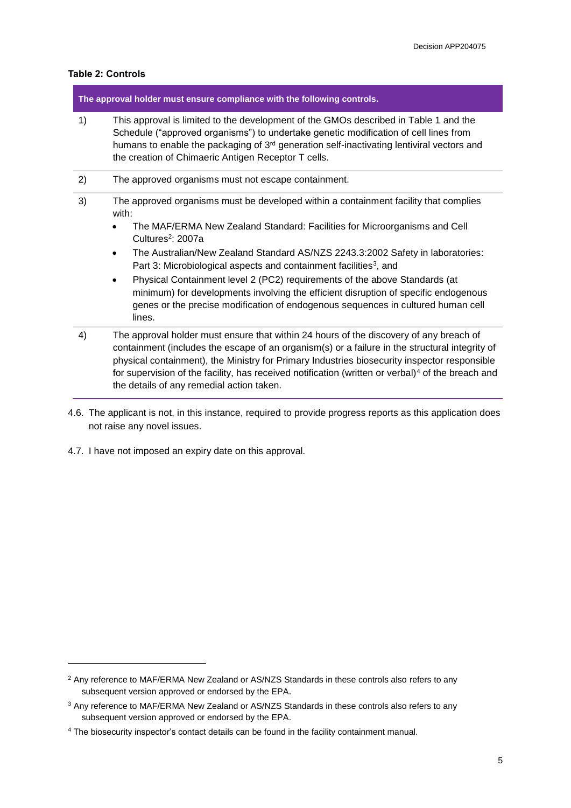#### **Table 2: Controls**

l

| The approval holder must ensure compliance with the following controls. |                                                                                                                                                                                                                                                                                                                                                                                                                                                                                                                                                                                                                                                                             |  |
|-------------------------------------------------------------------------|-----------------------------------------------------------------------------------------------------------------------------------------------------------------------------------------------------------------------------------------------------------------------------------------------------------------------------------------------------------------------------------------------------------------------------------------------------------------------------------------------------------------------------------------------------------------------------------------------------------------------------------------------------------------------------|--|
| 1)                                                                      | This approval is limited to the development of the GMOs described in Table 1 and the<br>Schedule ("approved organisms") to undertake genetic modification of cell lines from<br>humans to enable the packaging of 3 <sup>rd</sup> generation self-inactivating lentiviral vectors and<br>the creation of Chimaeric Antigen Receptor T cells.                                                                                                                                                                                                                                                                                                                                |  |
| 2)                                                                      | The approved organisms must not escape containment.                                                                                                                                                                                                                                                                                                                                                                                                                                                                                                                                                                                                                         |  |
| 3)                                                                      | The approved organisms must be developed within a containment facility that complies<br>with:<br>The MAF/ERMA New Zealand Standard: Facilities for Microorganisms and Cell<br>Cultures <sup>2</sup> : 2007a<br>The Australian/New Zealand Standard AS/NZS 2243.3:2002 Safety in laboratories:<br>$\bullet$<br>Part 3: Microbiological aspects and containment facilities <sup>3</sup> , and<br>Physical Containment level 2 (PC2) requirements of the above Standards (at<br>$\bullet$<br>minimum) for developments involving the efficient disruption of specific endogenous<br>genes or the precise modification of endogenous sequences in cultured human cell<br>lines. |  |
| 4)                                                                      | The approval holder must ensure that within 24 hours of the discovery of any breach of<br>containment (includes the escape of an organism(s) or a failure in the structural integrity of<br>physical containment), the Ministry for Primary Industries biosecurity inspector responsible<br>for supervision of the facility, has received notification (written or verbal) <sup>4</sup> of the breach and<br>the details of any remedial action taken.                                                                                                                                                                                                                      |  |

- 4.6. The applicant is not, in this instance, required to provide progress reports as this application does not raise any novel issues.
- 4.7. I have not imposed an expiry date on this approval.

<sup>&</sup>lt;sup>2</sup> Any reference to MAF/ERMA New Zealand or AS/NZS Standards in these controls also refers to any subsequent version approved or endorsed by the EPA.

<sup>&</sup>lt;sup>3</sup> Any reference to MAF/ERMA New Zealand or AS/NZS Standards in these controls also refers to any subsequent version approved or endorsed by the EPA.

<sup>4</sup> The biosecurity inspector's contact details can be found in the facility containment manual.